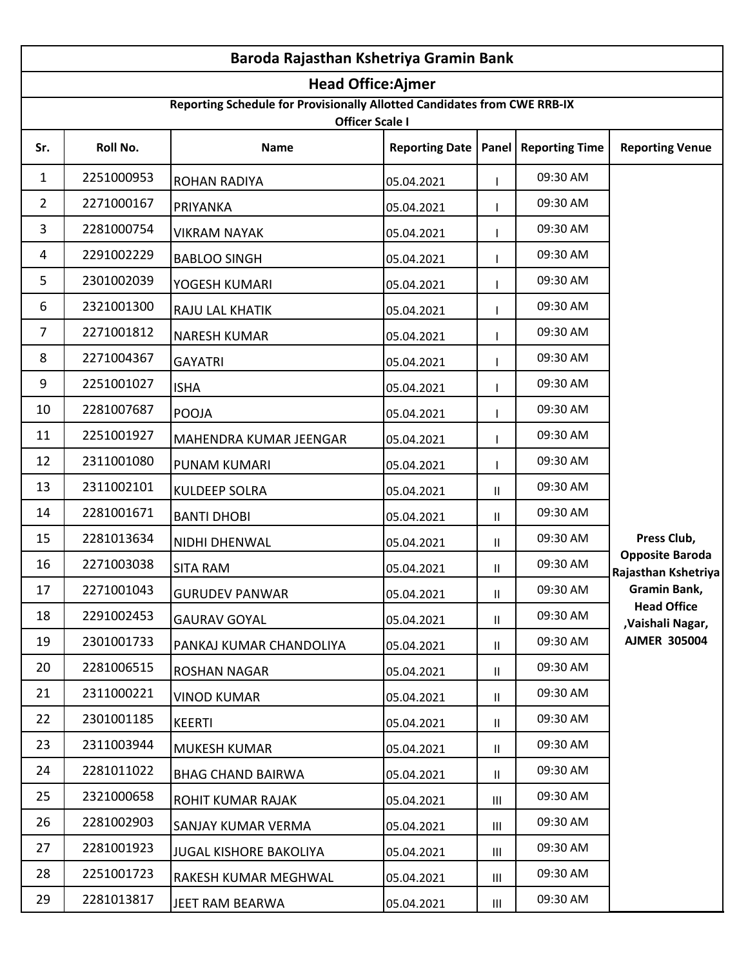| Baroda Rajasthan Kshetriya Gramin Bank |                          |                                                                                                    |            |                                    |                                         |                                               |  |  |
|----------------------------------------|--------------------------|----------------------------------------------------------------------------------------------------|------------|------------------------------------|-----------------------------------------|-----------------------------------------------|--|--|
|                                        | <b>Head Office:Ajmer</b> |                                                                                                    |            |                                    |                                         |                                               |  |  |
|                                        |                          | Reporting Schedule for Provisionally Allotted Candidates from CWE RRB-IX<br><b>Officer Scale I</b> |            |                                    |                                         |                                               |  |  |
| Sr.                                    | Roll No.                 | <b>Name</b>                                                                                        |            |                                    | Reporting Date   Panel   Reporting Time | <b>Reporting Venue</b>                        |  |  |
| 1                                      | 2251000953               | <b>ROHAN RADIYA</b>                                                                                | 05.04.2021 |                                    | 09:30 AM                                |                                               |  |  |
| 2                                      | 2271000167               | PRIYANKA                                                                                           | 05.04.2021 |                                    | 09:30 AM                                |                                               |  |  |
| 3                                      | 2281000754               | <b>VIKRAM NAYAK</b>                                                                                | 05.04.2021 |                                    | 09:30 AM                                |                                               |  |  |
| 4                                      | 2291002229               | <b>BABLOO SINGH</b>                                                                                | 05.04.2021 |                                    | 09:30 AM                                |                                               |  |  |
| 5                                      | 2301002039               | YOGESH KUMARI                                                                                      | 05.04.2021 |                                    | 09:30 AM                                |                                               |  |  |
| 6                                      | 2321001300               | <b>RAJU LAL KHATIK</b>                                                                             | 05.04.2021 |                                    | 09:30 AM                                |                                               |  |  |
| $\overline{7}$                         | 2271001812               | <b>NARESH KUMAR</b>                                                                                | 05.04.2021 |                                    | 09:30 AM                                |                                               |  |  |
| 8                                      | 2271004367               | <b>GAYATRI</b>                                                                                     | 05.04.2021 |                                    | 09:30 AM                                |                                               |  |  |
| 9                                      | 2251001027               | <b>ISHA</b>                                                                                        | 05.04.2021 |                                    | 09:30 AM                                |                                               |  |  |
| 10                                     | 2281007687               | <b>POOJA</b>                                                                                       | 05.04.2021 |                                    | 09:30 AM                                |                                               |  |  |
| 11                                     | 2251001927               | MAHENDRA KUMAR JEENGAR                                                                             | 05.04.2021 |                                    | 09:30 AM                                |                                               |  |  |
| 12                                     | 2311001080               | <b>PUNAM KUMARI</b>                                                                                | 05.04.2021 |                                    | 09:30 AM                                |                                               |  |  |
| 13                                     | 2311002101               | <b>KULDEEP SOLRA</b>                                                                               | 05.04.2021 | Ш                                  | 09:30 AM                                |                                               |  |  |
| 14                                     | 2281001671               | <b>BANTI DHOBI</b>                                                                                 | 05.04.2021 | Ш                                  | 09:30 AM                                |                                               |  |  |
| 15                                     | 2281013634               | NIDHI DHENWAL                                                                                      | 05.04.2021 | Ш                                  | 09:30 AM                                | Press Club,                                   |  |  |
| 16                                     | 2271003038               | <b>SITA RAM</b>                                                                                    | 05.04.2021 | Ш                                  | 09:30 AM                                | <b>Opposite Baroda</b><br>Rajasthan Kshetriya |  |  |
| 17                                     | 2271001043               | <b>GURUDEV PANWAR</b>                                                                              | 05.04.2021 | Ш.                                 | 09:30 AM                                | Gramin Bank,                                  |  |  |
| 18                                     | 2291002453               | <b>GAURAV GOYAL</b>                                                                                | 05.04.2021 | $\mathbf{H}$                       | 09:30 AM                                | <b>Head Office</b><br>,Vaishali Nagar,        |  |  |
| 19                                     | 2301001733               | PANKAJ KUMAR CHANDOLIYA                                                                            | 05.04.2021 | $\mathbf{H}$                       | 09:30 AM                                | <b>AJMER 305004</b>                           |  |  |
| 20                                     | 2281006515               | <b>ROSHAN NAGAR</b>                                                                                | 05.04.2021 | Ш                                  | 09:30 AM                                |                                               |  |  |
| 21                                     | 2311000221               | <b>VINOD KUMAR</b>                                                                                 | 05.04.2021 | Ш                                  | 09:30 AM                                |                                               |  |  |
| 22                                     | 2301001185               | <b>KEERTI</b>                                                                                      | 05.04.2021 | Ш                                  | 09:30 AM                                |                                               |  |  |
| 23                                     | 2311003944               | <b>MUKESH KUMAR</b>                                                                                | 05.04.2021 | Ш                                  | 09:30 AM                                |                                               |  |  |
| 24                                     | 2281011022               | <b>BHAG CHAND BAIRWA</b>                                                                           | 05.04.2021 | Ш                                  | 09:30 AM                                |                                               |  |  |
| 25                                     | 2321000658               | <b>ROHIT KUMAR RAJAK</b>                                                                           | 05.04.2021 | Ш                                  | 09:30 AM                                |                                               |  |  |
| 26                                     | 2281002903               | SANJAY KUMAR VERMA                                                                                 | 05.04.2021 | Ш                                  | 09:30 AM                                |                                               |  |  |
| 27                                     | 2281001923               | <b>JUGAL KISHORE BAKOLIYA</b>                                                                      | 05.04.2021 | $\mathbf{III}$                     | 09:30 AM                                |                                               |  |  |
| 28                                     | 2251001723               | <b>RAKESH KUMAR MEGHWAL</b>                                                                        | 05.04.2021 | $\ensuremath{\mathsf{III}}\xspace$ | 09:30 AM                                |                                               |  |  |
| 29                                     | 2281013817               | JEET RAM BEARWA                                                                                    | 05.04.2021 | $\ensuremath{\mathsf{III}}\xspace$ | 09:30 AM                                |                                               |  |  |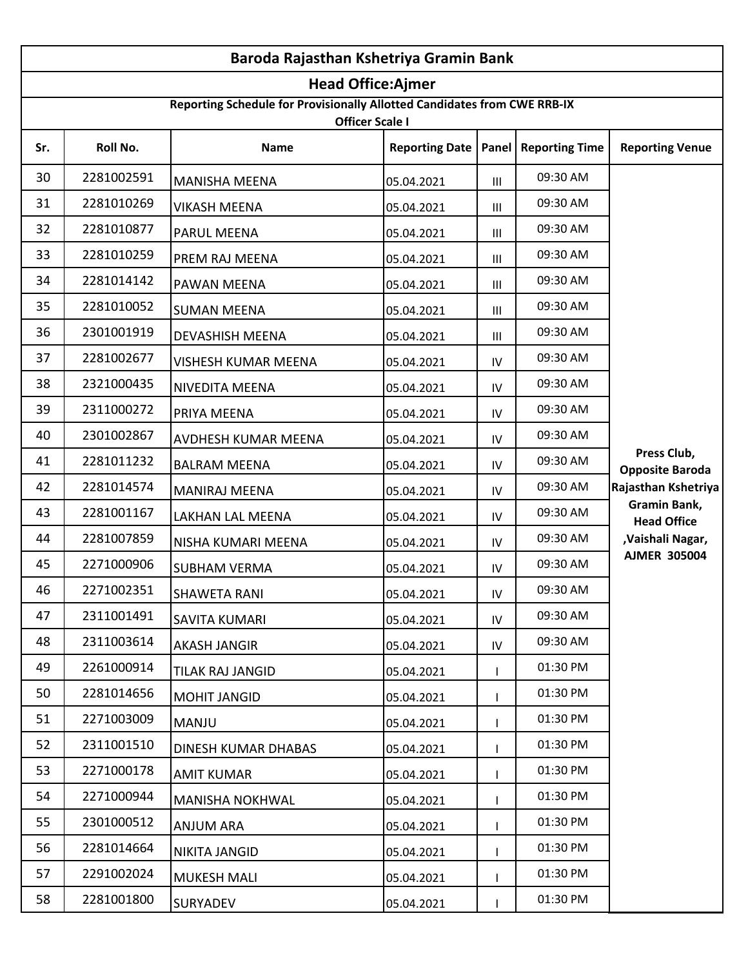| Baroda Rajasthan Kshetriya Gramin Bank |                                                                                                    |                        |                       |     |                               |                                       |  |  |
|----------------------------------------|----------------------------------------------------------------------------------------------------|------------------------|-----------------------|-----|-------------------------------|---------------------------------------|--|--|
|                                        | <b>Head Office:Ajmer</b>                                                                           |                        |                       |     |                               |                                       |  |  |
|                                        | Reporting Schedule for Provisionally Allotted Candidates from CWE RRB-IX<br><b>Officer Scale I</b> |                        |                       |     |                               |                                       |  |  |
| Sr.                                    | Roll No.                                                                                           | <b>Name</b>            | <b>Reporting Date</b> |     | <b>Panel   Reporting Time</b> | <b>Reporting Venue</b>                |  |  |
| 30                                     | 2281002591                                                                                         | <b>MANISHA MEENA</b>   | 05.04.2021            | Ш   | 09:30 AM                      |                                       |  |  |
| 31                                     | 2281010269                                                                                         | <b>VIKASH MEENA</b>    | 05.04.2021            | Ш   | 09:30 AM                      |                                       |  |  |
| 32                                     | 2281010877                                                                                         | PARUL MEENA            | 05.04.2021            | Ш   | 09:30 AM                      |                                       |  |  |
| 33                                     | 2281010259                                                                                         | PREM RAJ MEENA         | 05.04.2021            | Ш   | 09:30 AM                      |                                       |  |  |
| 34                                     | 2281014142                                                                                         | PAWAN MEENA            | 05.04.2021            | Ш   | 09:30 AM                      |                                       |  |  |
| 35                                     | 2281010052                                                                                         | <b>SUMAN MEENA</b>     | 05.04.2021            | Ш   | 09:30 AM                      |                                       |  |  |
| 36                                     | 2301001919                                                                                         | DEVASHISH MEENA        | 05.04.2021            | Ш   | 09:30 AM                      |                                       |  |  |
| 37                                     | 2281002677                                                                                         | VISHESH KUMAR MEENA    | 05.04.2021            | IV  | 09:30 AM                      |                                       |  |  |
| 38                                     | 2321000435                                                                                         | NIVEDITA MEENA         | 05.04.2021            | IV  | 09:30 AM                      |                                       |  |  |
| 39                                     | 2311000272                                                                                         | PRIYA MEENA            | 05.04.2021            | IV  | 09:30 AM                      |                                       |  |  |
| 40                                     | 2301002867                                                                                         | AVDHESH KUMAR MEENA    | 05.04.2021            | IV  | 09:30 AM                      |                                       |  |  |
| 41                                     | 2281011232                                                                                         | <b>BALRAM MEENA</b>    | 05.04.2021            | IV  | 09:30 AM                      | Press Club,<br><b>Opposite Baroda</b> |  |  |
| 42                                     | 2281014574                                                                                         | <b>MANIRAJ MEENA</b>   | 05.04.2021            | IV  | 09:30 AM                      | Rajasthan Kshetriya                   |  |  |
| 43                                     | 2281001167                                                                                         | LAKHAN LAL MEENA       | 05.04.2021            | IV  | 09:30 AM                      | Gramin Bank,<br><b>Head Office</b>    |  |  |
| 44                                     | 2281007859                                                                                         | NISHA KUMARI MEENA     | 05.04.2021            | IV  | 09:30 AM                      | ,Vaishali Nagar,                      |  |  |
| 45                                     | 2271000906                                                                                         | <b>SUBHAM VERMA</b>    | 05.04.2021            | IV  | 09:30 AM                      | <b>AJMER 305004</b>                   |  |  |
| 46                                     | 2271002351                                                                                         | <b>SHAWETA RANI</b>    | 05.04.2021            | IV. | 09:30 AM                      |                                       |  |  |
| 47                                     | 2311001491                                                                                         | SAVITA KUMARI          | 05.04.2021            | IV  | 09:30 AM                      |                                       |  |  |
| 48                                     | 2311003614                                                                                         | <b>AKASH JANGIR</b>    | 05.04.2021            | IV  | 09:30 AM                      |                                       |  |  |
| 49                                     | 2261000914                                                                                         | TILAK RAJ JANGID       | 05.04.2021            |     | 01:30 PM                      |                                       |  |  |
| 50                                     | 2281014656                                                                                         | <b>MOHIT JANGID</b>    | 05.04.2021            |     | 01:30 PM                      |                                       |  |  |
| 51                                     | 2271003009                                                                                         | <b>MANJU</b>           | 05.04.2021            |     | 01:30 PM                      |                                       |  |  |
| 52                                     | 2311001510                                                                                         | DINESH KUMAR DHABAS    | 05.04.2021            |     | 01:30 PM                      |                                       |  |  |
| 53                                     | 2271000178                                                                                         | <b>AMIT KUMAR</b>      | 05.04.2021            |     | 01:30 PM                      |                                       |  |  |
| 54                                     | 2271000944                                                                                         | <b>MANISHA NOKHWAL</b> | 05.04.2021            |     | 01:30 PM                      |                                       |  |  |
| 55                                     | 2301000512                                                                                         | ANJUM ARA              | 05.04.2021            |     | 01:30 PM                      |                                       |  |  |
| 56                                     | 2281014664                                                                                         | NIKITA JANGID          | 05.04.2021            |     | 01:30 PM                      |                                       |  |  |
| 57                                     | 2291002024                                                                                         | <b>MUKESH MALI</b>     | 05.04.2021            |     | 01:30 PM                      |                                       |  |  |
| 58                                     | 2281001800                                                                                         | <b>SURYADEV</b>        | 05.04.2021            |     | 01:30 PM                      |                                       |  |  |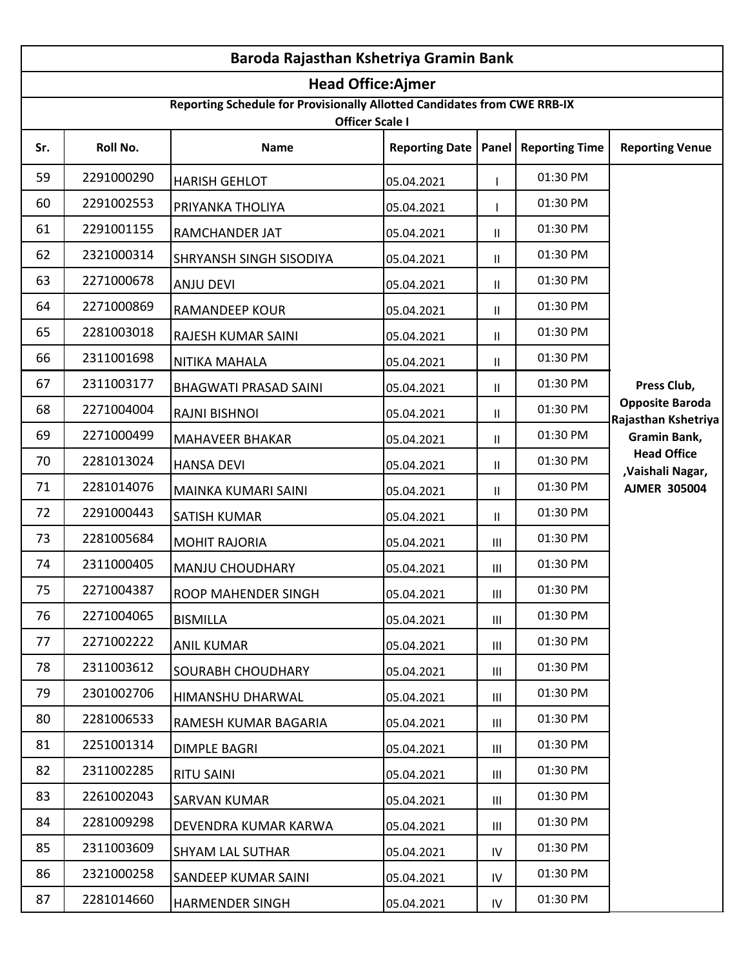|     | Baroda Rajasthan Kshetriya Gramin Bank |                                                                          |                          |                |                               |                                               |  |
|-----|----------------------------------------|--------------------------------------------------------------------------|--------------------------|----------------|-------------------------------|-----------------------------------------------|--|
|     |                                        |                                                                          | <b>Head Office:Ajmer</b> |                |                               |                                               |  |
|     |                                        | Reporting Schedule for Provisionally Allotted Candidates from CWE RRB-IX | <b>Officer Scale I</b>   |                |                               |                                               |  |
| Sr. | Roll No.                               | <b>Name</b>                                                              | <b>Reporting Date</b>    |                | <b>Panel   Reporting Time</b> | <b>Reporting Venue</b>                        |  |
| 59  | 2291000290                             | <b>HARISH GEHLOT</b>                                                     | 05.04.2021               |                | 01:30 PM                      |                                               |  |
| 60  | 2291002553                             | PRIYANKA THOLIYA                                                         | 05.04.2021               |                | 01:30 PM                      |                                               |  |
| 61  | 2291001155                             | RAMCHANDER JAT                                                           | 05.04.2021               | $\mathbf{H}$   | 01:30 PM                      |                                               |  |
| 62  | 2321000314                             | SHRYANSH SINGH SISODIYA                                                  | 05.04.2021               | $\mathbf{H}$   | 01:30 PM                      |                                               |  |
| 63  | 2271000678                             | <b>ANJU DEVI</b>                                                         | 05.04.2021               | $\mathbf{H}$   | 01:30 PM                      |                                               |  |
| 64  | 2271000869                             | <b>RAMANDEEP KOUR</b>                                                    | 05.04.2021               | $\mathbf{H}$   | 01:30 PM                      |                                               |  |
| 65  | 2281003018                             | RAJESH KUMAR SAINI                                                       | 05.04.2021               | $\mathbf{H}$   | 01:30 PM                      |                                               |  |
| 66  | 2311001698                             | NITIKA MAHALA                                                            | 05.04.2021               | $\mathbf{H}$   | 01:30 PM                      |                                               |  |
| 67  | 2311003177                             | <b>BHAGWATI PRASAD SAINI</b>                                             | 05.04.2021               | $\mathbf{H}$   | 01:30 PM                      | Press Club,                                   |  |
| 68  | 2271004004                             | <b>RAJNI BISHNOI</b>                                                     | 05.04.2021               | $\mathbf{H}$   | 01:30 PM                      | <b>Opposite Baroda</b><br>Rajasthan Kshetriya |  |
| 69  | 2271000499                             | <b>MAHAVEER BHAKAR</b>                                                   | 05.04.2021               | $\mathbf{H}$   | 01:30 PM                      | Gramin Bank,                                  |  |
| 70  | 2281013024                             | <b>HANSA DEVI</b>                                                        | 05.04.2021               | $\mathbf{H}$   | 01:30 PM                      | <b>Head Office</b><br>,Vaishali Nagar,        |  |
| 71  | 2281014076                             | MAINKA KUMARI SAINI                                                      | 05.04.2021               | $\mathbf{H}$   | 01:30 PM                      | <b>AJMER 305004</b>                           |  |
| 72  | 2291000443                             | <b>SATISH KUMAR</b>                                                      | 05.04.2021               | $\mathbf{H}$   | 01:30 PM                      |                                               |  |
| 73  | 2281005684                             | <b>MOHIT RAJORIA</b>                                                     | 05.04.2021               | Ш              | 01:30 PM                      |                                               |  |
| 74  | 2311000405                             | <b>MANJU CHOUDHARY</b>                                                   | 05.04.2021               | $\mathbf{III}$ | 01:30 PM                      |                                               |  |
| 75  | 2271004387                             | ROOP MAHENDER SINGH                                                      | 05.04.2021               | $\mathbf{III}$ | 01:30 PM                      |                                               |  |
| 76  | 2271004065                             | <b>BISMILLA</b>                                                          | 05.04.2021               | Ш              | 01:30 PM                      |                                               |  |
| 77  | 2271002222                             | <b>ANIL KUMAR</b>                                                        | 05.04.2021               | $\mathbf{III}$ | 01:30 PM                      |                                               |  |
| 78  | 2311003612                             | SOURABH CHOUDHARY                                                        | 05.04.2021               | Ш              | 01:30 PM                      |                                               |  |
| 79  | 2301002706                             | HIMANSHU DHARWAL                                                         | 05.04.2021               | Ш              | 01:30 PM                      |                                               |  |
| 80  | 2281006533                             | RAMESH KUMAR BAGARIA                                                     | 05.04.2021               | Ш              | 01:30 PM                      |                                               |  |
| 81  | 2251001314                             | <b>DIMPLE BAGRI</b>                                                      | 05.04.2021               | Ш              | 01:30 PM                      |                                               |  |
| 82  | 2311002285                             | <b>RITU SAINI</b>                                                        | 05.04.2021               | Ш              | 01:30 PM                      |                                               |  |
| 83  | 2261002043                             | <b>SARVAN KUMAR</b>                                                      | 05.04.2021               | $\mathbf{III}$ | 01:30 PM                      |                                               |  |
| 84  | 2281009298                             | DEVENDRA KUMAR KARWA                                                     | 05.04.2021               | Ш              | 01:30 PM                      |                                               |  |
| 85  | 2311003609                             | <b>SHYAM LAL SUTHAR</b>                                                  | 05.04.2021               | IV             | 01:30 PM                      |                                               |  |
| 86  | 2321000258                             | SANDEEP KUMAR SAINI                                                      | 05.04.2021               | IV             | 01:30 PM                      |                                               |  |
| 87  | 2281014660                             | <b>HARMENDER SINGH</b>                                                   | 05.04.2021               | IV             | 01:30 PM                      |                                               |  |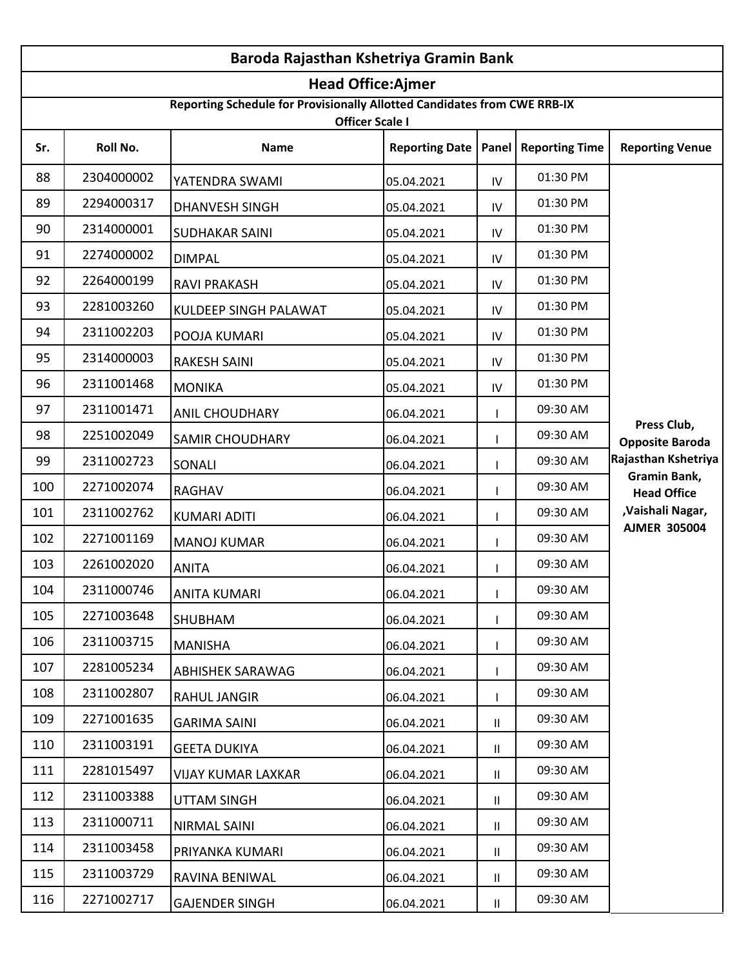| Baroda Rajasthan Kshetriya Gramin Bank |            |                                                                                                    |                       |               |                       |                                       |
|----------------------------------------|------------|----------------------------------------------------------------------------------------------------|-----------------------|---------------|-----------------------|---------------------------------------|
|                                        |            | <b>Head Office:Ajmer</b>                                                                           |                       |               |                       |                                       |
|                                        |            | Reporting Schedule for Provisionally Allotted Candidates from CWE RRB-IX<br><b>Officer Scale I</b> |                       |               |                       |                                       |
| Sr.                                    | Roll No.   | <b>Name</b>                                                                                        | <b>Reporting Date</b> | Panel         | <b>Reporting Time</b> | <b>Reporting Venue</b>                |
| 88                                     | 2304000002 | YATENDRA SWAMI                                                                                     | 05.04.2021            | IV            | 01:30 PM              |                                       |
| 89                                     | 2294000317 | <b>DHANVESH SINGH</b>                                                                              | 05.04.2021            | IV            | 01:30 PM              |                                       |
| 90                                     | 2314000001 | <b>SUDHAKAR SAINI</b>                                                                              | 05.04.2021            | IV            | 01:30 PM              |                                       |
| 91                                     | 2274000002 | <b>DIMPAL</b>                                                                                      | 05.04.2021            | IV            | 01:30 PM              |                                       |
| 92                                     | 2264000199 | <b>RAVI PRAKASH</b>                                                                                | 05.04.2021            | IV            | 01:30 PM              |                                       |
| 93                                     | 2281003260 | <b>KULDEEP SINGH PALAWAT</b>                                                                       | 05.04.2021            | IV            | 01:30 PM              |                                       |
| 94                                     | 2311002203 | POOJA KUMARI                                                                                       | 05.04.2021            | IV            | 01:30 PM              |                                       |
| 95                                     | 2314000003 | <b>RAKESH SAINI</b>                                                                                | 05.04.2021            | IV            | 01:30 PM              |                                       |
| 96                                     | 2311001468 | <b>MONIKA</b>                                                                                      | 05.04.2021            | IV            | 01:30 PM              |                                       |
| 97                                     | 2311001471 | <b>ANIL CHOUDHARY</b>                                                                              | 06.04.2021            |               | 09:30 AM              |                                       |
| 98                                     | 2251002049 | <b>SAMIR CHOUDHARY</b>                                                                             | 06.04.2021            |               | 09:30 AM              | Press Club,<br><b>Opposite Baroda</b> |
| 99                                     | 2311002723 | SONALI                                                                                             | 06.04.2021            |               | 09:30 AM              | Rajasthan Kshetriya                   |
| 100                                    | 2271002074 | <b>RAGHAV</b>                                                                                      | 06.04.2021            |               | 09:30 AM              | Gramin Bank,<br><b>Head Office</b>    |
| 101                                    | 2311002762 | <b>KUMARI ADITI</b>                                                                                | 06.04.2021            |               | 09:30 AM              | ,Vaishali Nagar,                      |
| 102                                    | 2271001169 | <b>MANOJ KUMAR</b>                                                                                 | 06.04.2021            |               | 09:30 AM              | <b>AJMER 305004</b>                   |
| 103                                    | 2261002020 | <b>ANITA</b>                                                                                       | 06.04.2021            |               | 09:30 AM              |                                       |
| 104                                    | 2311000746 | <b>ANITA KUMARI</b>                                                                                | 06.04.2021            |               | 09:30 AM              |                                       |
| 105                                    | 2271003648 | <b>SHUBHAM</b>                                                                                     | 06.04.2021            |               | 09:30 AM              |                                       |
| 106                                    | 2311003715 | <b>MANISHA</b>                                                                                     | 06.04.2021            |               | 09:30 AM              |                                       |
| 107                                    | 2281005234 | <b>ABHISHEK SARAWAG</b>                                                                            | 06.04.2021            |               | 09:30 AM              |                                       |
| 108                                    | 2311002807 | <b>RAHUL JANGIR</b>                                                                                | 06.04.2021            |               | 09:30 AM              |                                       |
| 109                                    | 2271001635 | <b>GARIMA SAINI</b>                                                                                | 06.04.2021            | $\mathbf{H}$  | 09:30 AM              |                                       |
| 110                                    | 2311003191 | <b>GEETA DUKIYA</b>                                                                                | 06.04.2021            | Ш             | 09:30 AM              |                                       |
| 111                                    | 2281015497 | <b>VIJAY KUMAR LAXKAR</b>                                                                          | 06.04.2021            | Ш.            | 09:30 AM              |                                       |
| 112                                    | 2311003388 | <b>UTTAM SINGH</b>                                                                                 | 06.04.2021            | $\mathbf{II}$ | 09:30 AM              |                                       |
| 113                                    | 2311000711 | NIRMAL SAINI                                                                                       | 06.04.2021            | Ш.            | 09:30 AM              |                                       |
| 114                                    | 2311003458 | PRIYANKA KUMARI                                                                                    | 06.04.2021            | Ш             | 09:30 AM              |                                       |
| 115                                    | 2311003729 | RAVINA BENIWAL                                                                                     | 06.04.2021            | Ш.            | 09:30 AM              |                                       |
| 116                                    | 2271002717 | <b>GAJENDER SINGH</b>                                                                              | 06.04.2021            | Ш.            | 09:30 AM              |                                       |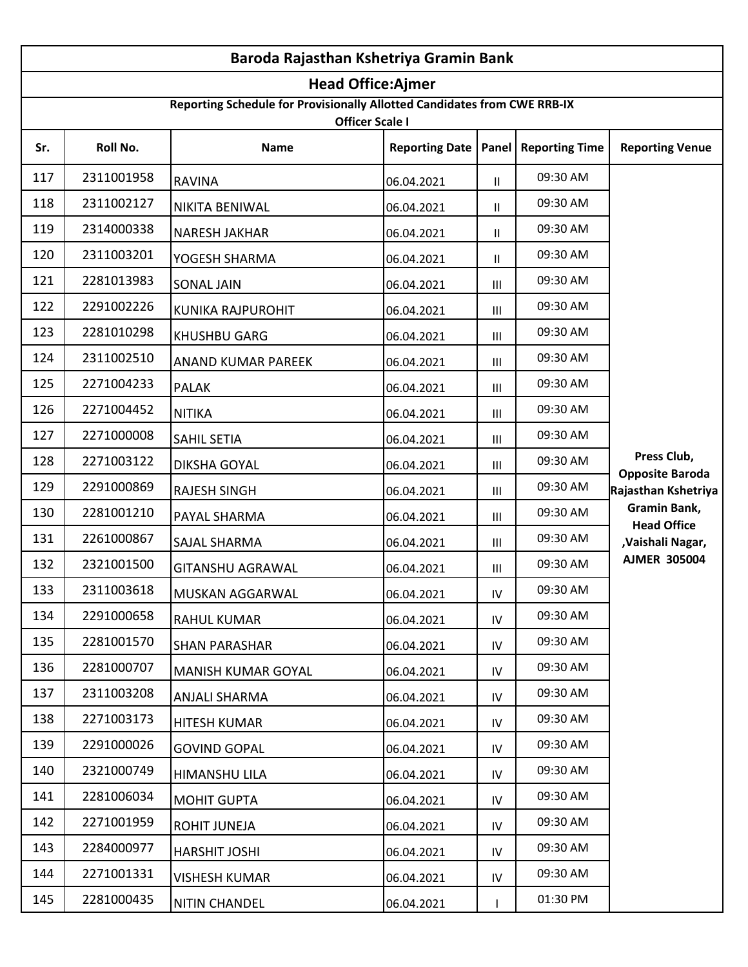| Baroda Rajasthan Kshetriya Gramin Bank |                          |                                                                                                    |                       |                |                       |                                       |  |  |
|----------------------------------------|--------------------------|----------------------------------------------------------------------------------------------------|-----------------------|----------------|-----------------------|---------------------------------------|--|--|
|                                        | <b>Head Office:Ajmer</b> |                                                                                                    |                       |                |                       |                                       |  |  |
|                                        |                          | Reporting Schedule for Provisionally Allotted Candidates from CWE RRB-IX<br><b>Officer Scale I</b> |                       |                |                       |                                       |  |  |
| Sr.                                    | Roll No.                 | Name                                                                                               | <b>Reporting Date</b> | Panel          | <b>Reporting Time</b> | <b>Reporting Venue</b>                |  |  |
| 117                                    | 2311001958               | <b>RAVINA</b>                                                                                      | 06.04.2021            | Ш.             | 09:30 AM              |                                       |  |  |
| 118                                    | 2311002127               | <b>NIKITA BENIWAL</b>                                                                              | 06.04.2021            | Ш.             | 09:30 AM              |                                       |  |  |
| 119                                    | 2314000338               | <b>NARESH JAKHAR</b>                                                                               | 06.04.2021            | $\mathbf{H}$   | 09:30 AM              |                                       |  |  |
| 120                                    | 2311003201               | YOGESH SHARMA                                                                                      | 06.04.2021            | $\mathbf{H}$   | 09:30 AM              |                                       |  |  |
| 121                                    | 2281013983               | <b>SONAL JAIN</b>                                                                                  | 06.04.2021            | Ш              | 09:30 AM              |                                       |  |  |
| 122                                    | 2291002226               | KUNIKA RAJPUROHIT                                                                                  | 06.04.2021            | Ш              | 09:30 AM              |                                       |  |  |
| 123                                    | 2281010298               | <b>KHUSHBU GARG</b>                                                                                | 06.04.2021            | Ш              | 09:30 AM              |                                       |  |  |
| 124                                    | 2311002510               | ANAND KUMAR PAREEK                                                                                 | 06.04.2021            | $\mathbf{III}$ | 09:30 AM              |                                       |  |  |
| 125                                    | 2271004233               | <b>PALAK</b>                                                                                       | 06.04.2021            | Ш              | 09:30 AM              |                                       |  |  |
| 126                                    | 2271004452               | <b>NITIKA</b>                                                                                      | 06.04.2021            | $\mathbf{III}$ | 09:30 AM              |                                       |  |  |
| 127                                    | 2271000008               | SAHIL SETIA                                                                                        | 06.04.2021            | Ш              | 09:30 AM              |                                       |  |  |
| 128                                    | 2271003122               | DIKSHA GOYAL                                                                                       | 06.04.2021            | Ш              | 09:30 AM              | Press Club,<br><b>Opposite Baroda</b> |  |  |
| 129                                    | 2291000869               | <b>RAJESH SINGH</b>                                                                                | 06.04.2021            | Ш              | 09:30 AM              | Rajasthan Kshetriya                   |  |  |
| 130                                    | 2281001210               | PAYAL SHARMA                                                                                       | 06.04.2021            | Ш              | 09:30 AM              | Gramin Bank,<br><b>Head Office</b>    |  |  |
| 131                                    | 2261000867               | SAJAL SHARMA                                                                                       | 06.04.2021            | Ш              | 09:30 AM              | ,Vaishali Nagar,                      |  |  |
| 132                                    | 2321001500               | <b>GITANSHU AGRAWAL</b>                                                                            | 06.04.2021            | Ш              | 09:30 AM              | <b>AJMER 305004</b>                   |  |  |
| 133                                    | 2311003618               | MUSKAN AGGARWAL                                                                                    | 06.04.2021            | IV             | 09:30 AM              |                                       |  |  |
| 134                                    | 2291000658               | <b>RAHUL KUMAR</b>                                                                                 | 06.04.2021            | IV             | 09:30 AM              |                                       |  |  |
| 135                                    | 2281001570               | <b>SHAN PARASHAR</b>                                                                               | 06.04.2021            | IV             | 09:30 AM              |                                       |  |  |
| 136                                    | 2281000707               | <b>MANISH KUMAR GOYAL</b>                                                                          | 06.04.2021            | IV             | 09:30 AM              |                                       |  |  |
| 137                                    | 2311003208               | ANJALI SHARMA                                                                                      | 06.04.2021            | IV             | 09:30 AM              |                                       |  |  |
| 138                                    | 2271003173               | <b>HITESH KUMAR</b>                                                                                | 06.04.2021            | IV             | 09:30 AM              |                                       |  |  |
| 139                                    | 2291000026               | <b>GOVIND GOPAL</b>                                                                                | 06.04.2021            | IV             | 09:30 AM              |                                       |  |  |
| 140                                    | 2321000749               | HIMANSHU LILA                                                                                      | 06.04.2021            | IV             | 09:30 AM              |                                       |  |  |
| 141                                    | 2281006034               | <b>MOHIT GUPTA</b>                                                                                 | 06.04.2021            | IV             | 09:30 AM              |                                       |  |  |
| 142                                    | 2271001959               | ROHIT JUNEJA                                                                                       | 06.04.2021            | IV             | 09:30 AM              |                                       |  |  |
| 143                                    | 2284000977               | HARSHIT JOSHI                                                                                      | 06.04.2021            | IV             | 09:30 AM              |                                       |  |  |
| 144                                    | 2271001331               | <b>VISHESH KUMAR</b>                                                                               | 06.04.2021            | IV             | 09:30 AM              |                                       |  |  |
| 145                                    | 2281000435               | <b>NITIN CHANDEL</b>                                                                               | 06.04.2021            |                | 01:30 PM              |                                       |  |  |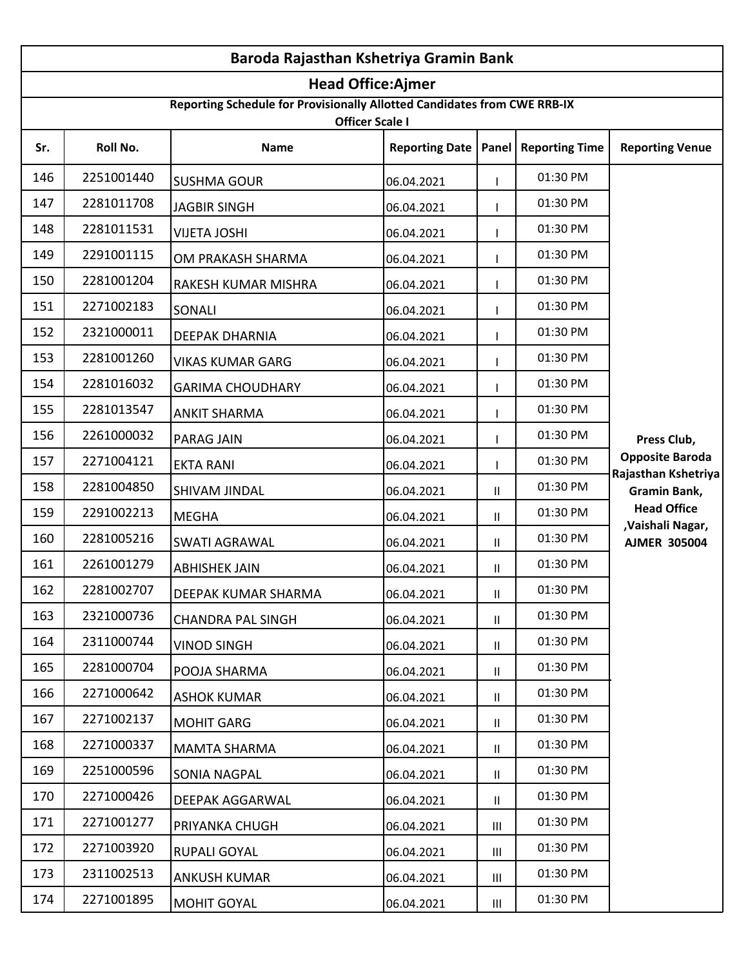| Baroda Rajasthan Kshetriya Gramin Bank |                          |                                                                                                    |                       |                |                               |                                         |  |  |
|----------------------------------------|--------------------------|----------------------------------------------------------------------------------------------------|-----------------------|----------------|-------------------------------|-----------------------------------------|--|--|
|                                        | <b>Head Office:Ajmer</b> |                                                                                                    |                       |                |                               |                                         |  |  |
|                                        |                          | Reporting Schedule for Provisionally Allotted Candidates from CWE RRB-IX<br><b>Officer Scale I</b> |                       |                |                               |                                         |  |  |
| Sr.                                    | Roll No.                 | <b>Name</b>                                                                                        | <b>Reporting Date</b> |                | <b>Panel   Reporting Time</b> | <b>Reporting Venue</b>                  |  |  |
| 146                                    | 2251001440               | <b>SUSHMA GOUR</b>                                                                                 | 06.04.2021            |                | 01:30 PM                      |                                         |  |  |
| 147                                    | 2281011708               | <b>JAGBIR SINGH</b>                                                                                | 06.04.2021            |                | 01:30 PM                      |                                         |  |  |
| 148                                    | 2281011531               | <b>VIJETA JOSHI</b>                                                                                | 06.04.2021            |                | 01:30 PM                      |                                         |  |  |
| 149                                    | 2291001115               | OM PRAKASH SHARMA                                                                                  | 06.04.2021            |                | 01:30 PM                      |                                         |  |  |
| 150                                    | 2281001204               | RAKESH KUMAR MISHRA                                                                                | 06.04.2021            |                | 01:30 PM                      |                                         |  |  |
| 151                                    | 2271002183               | SONALI                                                                                             | 06.04.2021            |                | 01:30 PM                      |                                         |  |  |
| 152                                    | 2321000011               | <b>DEEPAK DHARNIA</b>                                                                              | 06.04.2021            |                | 01:30 PM                      |                                         |  |  |
| 153                                    | 2281001260               | <b>VIKAS KUMAR GARG</b>                                                                            | 06.04.2021            |                | 01:30 PM                      |                                         |  |  |
| 154                                    | 2281016032               | <b>GARIMA CHOUDHARY</b>                                                                            | 06.04.2021            |                | 01:30 PM                      |                                         |  |  |
| 155                                    | 2281013547               | <b>ANKIT SHARMA</b>                                                                                | 06.04.2021            |                | 01:30 PM                      |                                         |  |  |
| 156                                    | 2261000032               | PARAG JAIN                                                                                         | 06.04.2021            |                | 01:30 PM                      | Press Club,                             |  |  |
| 157                                    | 2271004121               | <b>EKTA RANI</b>                                                                                   | 06.04.2021            |                | 01:30 PM                      | <b>Opposite Baroda</b>                  |  |  |
| 158                                    | 2281004850               | SHIVAM JINDAL                                                                                      | 06.04.2021            | $\mathbf{H}$   | 01:30 PM                      | Rajasthan Kshetriya<br>Gramin Bank,     |  |  |
| 159                                    | 2291002213               | <b>MEGHA</b>                                                                                       | 06.04.2021            | $\mathbf{H}$   | 01:30 PM                      | <b>Head Office</b>                      |  |  |
| 160                                    | 2281005216               | <b>SWATI AGRAWAL</b>                                                                               | 06.04.2021            | $\mathbf{H}$   | 01:30 PM                      | ,Vaishali Nagar,<br><b>AJMER 305004</b> |  |  |
| 161                                    | 2261001279               | <b>ABHISHEK JAIN</b>                                                                               | 06.04.2021            | Ш              | 01:30 PM                      |                                         |  |  |
| 162                                    | 2281002707               | DEEPAK KUMAR SHARMA                                                                                | 06.04.2021            | Ш.             | 01:30 PM                      |                                         |  |  |
| 163                                    | 2321000736               | <b>CHANDRA PAL SINGH</b>                                                                           | 06.04.2021            | $\mathbf{H}$   | 01:30 PM                      |                                         |  |  |
| 164                                    | 2311000744               | <b>VINOD SINGH</b>                                                                                 | 06.04.2021            | $\mathbf{H}$   | 01:30 PM                      |                                         |  |  |
| 165                                    | 2281000704               | POOJA SHARMA                                                                                       | 06.04.2021            | $\mathbf{H}$   | 01:30 PM                      |                                         |  |  |
| 166                                    | 2271000642               | <b>ASHOK KUMAR</b>                                                                                 | 06.04.2021            | $\mathbf{H}$   | 01:30 PM                      |                                         |  |  |
| 167                                    | 2271002137               | <b>MOHIT GARG</b>                                                                                  | 06.04.2021            | Ш              | 01:30 PM                      |                                         |  |  |
| 168                                    | 2271000337               | <b>MAMTA SHARMA</b>                                                                                | 06.04.2021            | $\mathbf{II}$  | 01:30 PM                      |                                         |  |  |
| 169                                    | 2251000596               | SONIA NAGPAL                                                                                       | 06.04.2021            | $\mathbf{H}$   | 01:30 PM                      |                                         |  |  |
| 170                                    | 2271000426               | DEEPAK AGGARWAL                                                                                    | 06.04.2021            | $\mathbf{H}$   | 01:30 PM                      |                                         |  |  |
| 171                                    | 2271001277               | PRIYANKA CHUGH                                                                                     | 06.04.2021            | Ш              | 01:30 PM                      |                                         |  |  |
| 172                                    | 2271003920               | RUPALI GOYAL                                                                                       | 06.04.2021            | $\mathbf{III}$ | 01:30 PM                      |                                         |  |  |
| 173                                    | 2311002513               | <b>ANKUSH KUMAR</b>                                                                                | 06.04.2021            | Ш              | 01:30 PM                      |                                         |  |  |
| 174                                    | 2271001895               | <b>MOHIT GOYAL</b>                                                                                 | 06.04.2021            | Ш              | 01:30 PM                      |                                         |  |  |